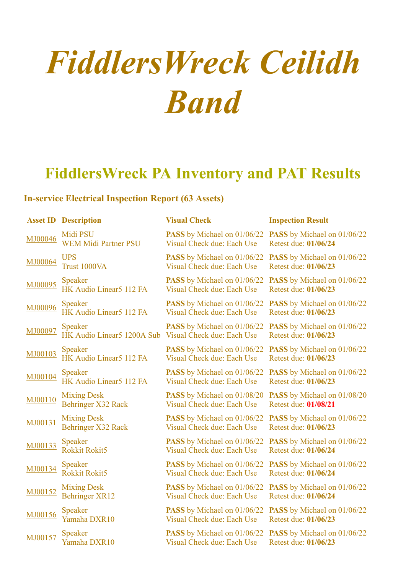## *FiddlersWreck Ceilidh Band*

## **FiddlersWreck PA Inventory and PAT Results**

## **In-service Electrical Inspection Report (63 Assets)**

|         | <b>Asset ID Description</b> | <b>Visual Check</b>                | <b>Inspection Result</b>           |
|---------|-----------------------------|------------------------------------|------------------------------------|
| MJ00046 | Midi PSU                    | <b>PASS</b> by Michael on 01/06/22 | PASS by Michael on 01/06/22        |
|         | <b>WEM Midi Partner PSU</b> | Visual Check due: Each Use         | Retest due: 01/06/24               |
| MJ00064 | <b>UPS</b>                  | <b>PASS</b> by Michael on 01/06/22 | PASS by Michael on 01/06/22        |
|         | Trust 1000VA                | Visual Check due: Each Use         | Retest due: 01/06/23               |
| MJ00095 | <b>Speaker</b>              | PASS by Michael on 01/06/22        | PASS by Michael on 01/06/22        |
|         | HK Audio Linear5 112 FA     | Visual Check due: Each Use         | Retest due: 01/06/23               |
| MJ00096 | Speaker                     | PASS by Michael on 01/06/22        | PASS by Michael on 01/06/22        |
|         | HK Audio Linear5 112 FA     | Visual Check due: Each Use         | Retest due: 01/06/23               |
| MJ00097 | Speaker                     | <b>PASS</b> by Michael on 01/06/22 | <b>PASS</b> by Michael on 01/06/22 |
|         | HK Audio Linear5 1200A Sub  | Visual Check due: Each Use         | Retest due: 01/06/23               |
| MJ00103 | <b>Speaker</b>              | PASS by Michael on 01/06/22        | PASS by Michael on 01/06/22        |
|         | HK Audio Linear5 112 FA     | Visual Check due: Each Use         | Retest due: 01/06/23               |
| MJ00104 | <b>Speaker</b>              | PASS by Michael on 01/06/22        | <b>PASS</b> by Michael on 01/06/22 |
|         | HK Audio Linear5 112 FA     | Visual Check due: Each Use         | Retest due: 01/06/23               |
| MJ00110 | <b>Mixing Desk</b>          | PASS by Michael on 01/08/20        | <b>PASS</b> by Michael on 01/08/20 |
|         | Behringer X32 Rack          | Visual Check due: Each Use         | Retest due: 01/08/21               |
| MJ00131 | <b>Mixing Desk</b>          | PASS by Michael on 01/06/22        | PASS by Michael on 01/06/22        |
|         | <b>Behringer X32 Rack</b>   | Visual Check due: Each Use         | Retest due: 01/06/23               |
| MJ00133 | Speaker                     | PASS by Michael on 01/06/22        | <b>PASS</b> by Michael on 01/06/22 |
|         | <b>Rokkit Rokit5</b>        | Visual Check due: Each Use         | Retest due: 01/06/24               |
| MJ00134 | <b>Speaker</b>              | PASS by Michael on 01/06/22        | PASS by Michael on 01/06/22        |
|         | <b>Rokkit Rokit5</b>        | Visual Check due: Each Use         | Retest due: 01/06/24               |
| MJ00152 | <b>Mixing Desk</b>          | PASS by Michael on 01/06/22        | PASS by Michael on 01/06/22        |
|         | <b>Behringer XR12</b>       | Visual Check due: Each Use         | Retest due: 01/06/24               |
| MJ00156 | <b>Speaker</b>              | PASS by Michael on 01/06/22        | PASS by Michael on 01/06/22        |
|         | Yamaha DXR10                | Visual Check due: Each Use         | Retest due: 01/06/23               |
| MJ00157 | <b>Speaker</b>              | PASS by Michael on 01/06/22        | PASS by Michael on 01/06/22        |
|         | Yamaha DXR10                | Visual Check due: Each Use         | Retest due: 01/06/23               |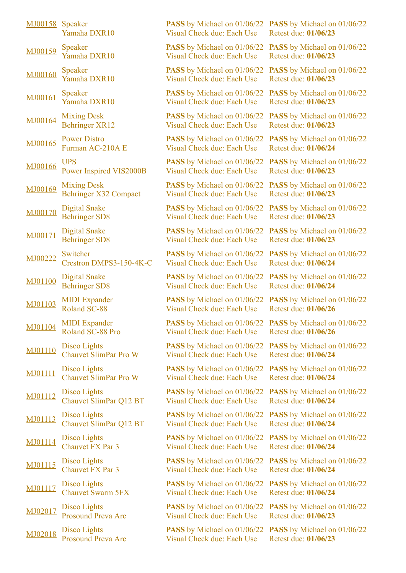| MJ00158        | Speaker<br>Yamaha DXR10                            |
|----------------|----------------------------------------------------|
| MJ00159        | Speaker<br>Yamaha DXR10                            |
| MJ00160        | Speaker<br>Yamaha DXR10                            |
| MJ00161        | Speaker<br>Yamaha DXR10                            |
| MJ00164        | <b>Mixing Desk</b><br><b>Behringer XR12</b>        |
| MJ00165        | <b>Power Distro</b><br>Furman AC-210A E            |
| MJ00166        | <b>UPS</b><br>Power Inspired VIS2000B              |
| MJ00169        | <b>Mixing Desk</b><br><b>Behringer X32 Compact</b> |
| MJ00170        | <b>Digital Snake</b><br><b>Behringer SD8</b>       |
| MJ00171        | <b>Digital Snake</b><br><b>Behringer SD8</b>       |
| MJ00222        | Switcher<br>Crestron DMPS3-150-4K-C                |
| MJ01100        | <b>Digital Snake</b><br><b>Behringer SD8</b>       |
| MJ01103        | <b>MIDI</b> Expander<br>Roland SC-88               |
| MJ01104        | <b>MIDI</b> Expander<br>Roland SC-88 Pro           |
| MJ01110        | Disco Lights<br><b>Chauvet SlimPar Pro W</b>       |
| <b>MJ01111</b> | Disco Lights<br><b>Chauvet SlimPar Pro W</b>       |
| MJ01112        | Disco Lights<br>Chauvet SlimPar Q12 BT             |
| MJ01113        | <b>Disco Lights</b><br>Chauvet SlimPar Q12 BT      |
| MJ01114        | Disco Lights<br><b>Chauvet FX Par 3</b>            |
| MJ01115        | Disco Lights<br><b>Chauvet FX Par 3</b>            |
| MJ01117        | Disco Lights<br><b>Chauvet Swarm 5FX</b>           |
| MJ02017        | Disco Lights<br><b>Prosound Preva Arc</b>          |
| MJ02018        | Disco Lights<br><b>Prosound Preva Arc</b>          |

Visual Check due: Each Use

**PASS** by Michael on 01/06/22 Visual Check due: Each Use

**PASS** by Michael on 01/06/22 Visual Check due: Each Use

**PASS** by Michael on 01/06/22 Visual Check due: Each Use

**PASS** by Michael on 01/06/22 Visual Check due: Each Use

**PASS** by Michael on 01/06/22 Visual Check due: Each Use

**PASS** by Michael on 01/06/22 Visual Check due: Each Use

**PASS** by Michael on 01/06/22 **PASS** by Michael on 01/06/22 Visual Check due: Each Use

**PASS** by Michael on 01/06/22 Visual Check due: Each Use

**PASS** by Michael on 01/06/22 **PASS** by Michael on 01/06/22 Visual Check due: Each Use

**PASS** by Michael on 01/06/22 Visual Check due: Each Use

**PASS** by Michael on 01/06/22 Visual Check due: Each Use

**PASS** by Michael on 01/06/22 Visual Check due: Each Use

**PASS** by Michael on 01/06/22 Visual Check due: Each Use

**PASS** by Michael on 01/06/22 Visual Check due: Each Use

**PASS** by Michael on 01/06/22 Visual Check due: Each Use

**PASS** by Michael on 01/06/22 Visual Check due: Each Use

Visual Check due: Each Use

**PASS** by Michael on 01/06/22 Visual Check due: Each Use

**PASS** by Michael on 01/06/22 Visual Check due: Each Use

**PASS** by Michael on 01/06/22 Visual Check due: Each Use

**PASS** by Michael on 01/06/22 Visual Check due: Each Use

**PASS** by Michael on 01/06/22 Visual Check due: Each Use

**PASS** by Michael on 01/06/22 **PASS** by Michael on 01/06/22 Retest due: **01/06/23**

> **PASS** by Michael on 01/06/22 Retest due: **01/06/23**

> **PASS** by Michael on 01/06/22 Retest due: **01/06/23**

> **PASS** by Michael on 01/06/22 Retest due: **01/06/23**

> **PASS** by Michael on 01/06/22 Retest due: **01/06/23**

**PASS** by Michael on 01/06/22 Retest due: **01/06/24**

**PASS** by Michael on 01/06/22 Retest due: **01/06/23**

Retest due: **01/06/23**

**PASS** by Michael on 01/06/22 Retest due: **01/06/23**

Retest due: **01/06/23**

**PASS** by Michael on 01/06/22 Retest due: **01/06/24**

**PASS** by Michael on 01/06/22 Retest due: **01/06/24**

**PASS** by Michael on 01/06/22 Retest due: **01/06/26**

**PASS** by Michael on 01/06/22 Retest due: **01/06/26**

**PASS** by Michael on 01/06/22 Retest due: **01/06/24**

**PASS** by Michael on 01/06/22 Retest due: **01/06/24**

**PASS** by Michael on 01/06/22 Retest due: **01/06/24**

**PASS** by Michael on 01/06/22 **PASS** by Michael on 01/06/22 Retest due: **01/06/24**

> **PASS** by Michael on 01/06/22 Retest due: **01/06/24**

> **PASS** by Michael on 01/06/22 Retest due: **01/06/24**

> **PASS** by Michael on 01/06/22 Retest due: **01/06/24**

> **PASS** by Michael on 01/06/22 Retest due: **01/06/23**

**PASS** by Michael on 01/06/22 Retest due: **01/06/23**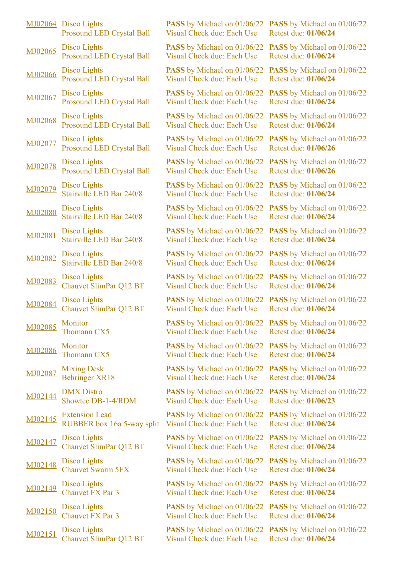|         | MJ02064 Disco Lights<br><b>Prosound LED Crystal Ball</b> |
|---------|----------------------------------------------------------|
| MJ02065 | <b>Disco Lights</b><br><b>Prosound LED Crystal Ball</b>  |
| MJ02066 | Disco Lights<br><b>Prosound LED Crystal Ball</b>         |
| MJ02067 | Disco Lights<br><b>Prosound LED Crystal Ball</b>         |
| MJ02068 | Disco Lights<br><b>Prosound LED Crystal Ball</b>         |
| MJ02077 | Disco Lights<br><b>Prosound LED Crystal Ball</b>         |
| MJ02078 | Disco Lights<br><b>Prosound LED Crystal Ball</b>         |
| MJ02079 | <b>Disco Lights</b><br>Stairville LED Bar 240/8          |
| MJ02080 | Disco Lights<br>Stairville LED Bar 240/8                 |
| MJ02081 | Disco Lights<br>Stairville LED Bar 240/8                 |
| MJ02082 | Disco Lights<br>Stairville LED Bar 240/8                 |
| MJ02083 | Disco Lights<br>Chauvet SlimPar Q12 BT                   |
| MJ02084 | <b>Disco Lights</b><br>Chauvet SlimPar Q12 BT            |
| MJ02085 | Monitor<br><b>Thomann CX5</b>                            |
| MJ02086 | Monitor<br><b>Thomann CX5</b>                            |
| MJ02087 | <b>Mixing Desk</b><br><b>Behringer XR18</b>              |
| MJ02144 | <b>DMX</b> Distro<br>Showtec DB-1-4/RDM                  |
| MJ02145 | <b>Extension Lead</b><br>RUBBER box 16a 5-way split      |
| MJ02147 | Disco Lights<br>Chauvet SlimPar Q12 BT                   |
| MJ02148 | Disco Lights<br><b>Chauvet Swarm 5FX</b>                 |
| MJ02149 | Disco Lights<br><b>Chauvet FX Par 3</b>                  |
| MJ02150 | Disco Lights<br><b>Chauvet FX Par 3</b>                  |
| MJ02151 | Disco Lights<br>Chauvet SlimPar Q12 BT                   |

**PASS** by Michael on 01/06/22 **PASS** by Michael on 01/06/22 Visual Check due: Each Use

**PASS** by Michael on 01/06/22 Visual Check due: Each Use

**PASS** by Michael on 01/06/22 Visual Check due: Each Use

**PASS** by Michael on 01/06/22 Visual Check due: Each Use

**PASS** by Michael on 01/06/22 Visual Check due: Each Use

**PASS** by Michael on 01/06/22 Visual Check due: Each Use

**PASS** by Michael on 01/06/22 Visual Check due: Each Use

**PASS** by Michael on 01/06/22 **PASS** by Michael on 01/06/22 Visual Check due: Each Use

**PASS** by Michael on 01/06/22 Visual Check due: Each Use

**PASS** by Michael on 01/06/22 **PASS** by Michael on 01/06/22 Visual Check due: Each Use

**PASS** by Michael on 01/06/22 Visual Check due: Each Use

**PASS** by Michael on 01/06/22 Visual Check due: Each Use

**PASS** by Michael on 01/06/22 Visual Check due: Each Use

**PASS** by Michael on 01/06/22 Visual Check due: Each Use

**PASS** by Michael on 01/06/22 Visual Check due: Each Use

**PASS** by Michael on 01/06/22 Visual Check due: Each Use

**PASS** by Michael on 01/06/22 Visual Check due: Each Use

Visual Check due: Each Use

**PASS** by Michael on 01/06/22 Visual Check due: Each Use

**PASS** by Michael on 01/06/22 Visual Check due: Each Use

**PASS** by Michael on 01/06/22 Visual Check due: Each Use

**PASS** by Michael on 01/06/22 **PASS** by Michael on 01/06/22 Visual Check due: Each Use

**PASS** by Michael on 01/06/22 Visual Check due: Each Use

Retest due: **01/06/24**

**PASS** by Michael on 01/06/22 Retest due: **01/06/24**

**PASS** by Michael on 01/06/22 Retest due: **01/06/24**

**PASS** by Michael on 01/06/22 Retest due: **01/06/24**

**PASS** by Michael on 01/06/22 Retest due: **01/06/24**

**PASS** by Michael on 01/06/22 Retest due: **01/06/26**

**PASS** by Michael on 01/06/22 Retest due: **01/06/26**

Retest due: **01/06/24**

**PASS** by Michael on 01/06/22 Retest due: **01/06/24**

Retest due: **01/06/24**

**PASS** by Michael on 01/06/22 Retest due: **01/06/24**

**PASS** by Michael on 01/06/22 Retest due: **01/06/24**

**PASS** by Michael on 01/06/22 Retest due: **01/06/24**

**PASS** by Michael on 01/06/22 Retest due: **01/06/24**

**PASS** by Michael on 01/06/22 Retest due: **01/06/24**

**PASS** by Michael on 01/06/22 Retest due: **01/06/24**

**PASS** by Michael on 01/06/22 Retest due: **01/06/23**

**PASS** by Michael on 01/06/22 **PASS** by Michael on 01/06/22 Retest due: **01/06/24**

> **PASS** by Michael on 01/06/22 Retest due: **01/06/24**

> **PASS** by Michael on 01/06/22 Retest due: **01/06/24**

> **PASS** by Michael on 01/06/22 Retest due: **01/06/24**

Retest due: **01/06/24**

**PASS** by Michael on 01/06/22 Retest due: **01/06/24**